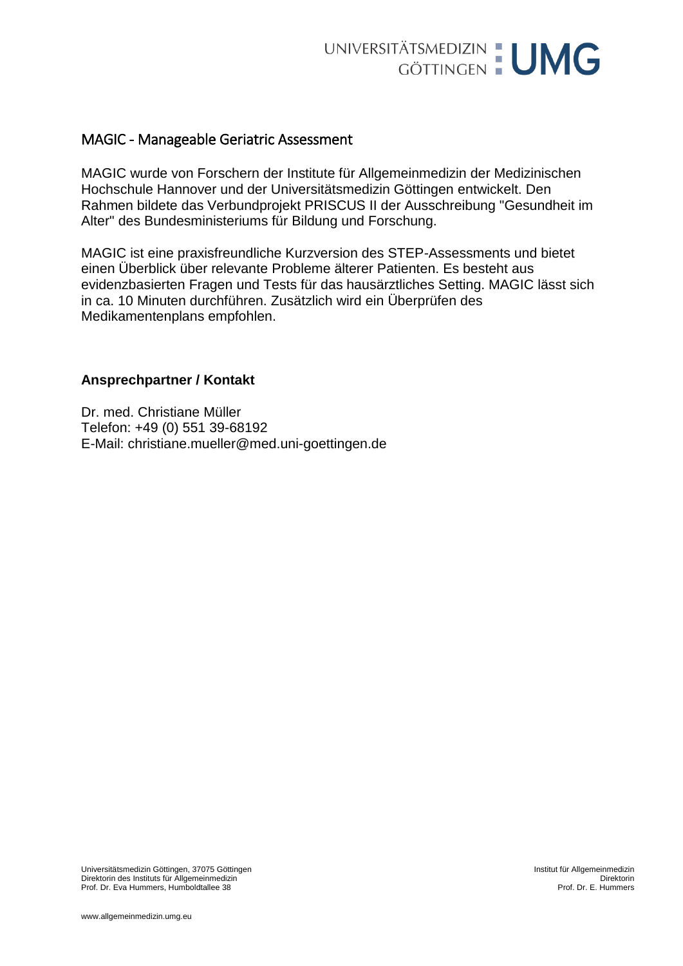

## MAGIC - Manageable Geriatric Assessment

MAGIC wurde von Forschern der Institute für Allgemeinmedizin der Medizinischen Hochschule Hannover und der Universitätsmedizin Göttingen entwickelt. Den Rahmen bildete das Verbundprojekt PRISCUS II der Ausschreibung "Gesundheit im Alter" des Bundesministeriums für Bildung und Forschung.

MAGIC ist eine praxisfreundliche Kurzversion des STEP-Assessments und bietet einen Überblick über relevante Probleme älterer Patienten. Es besteht aus evidenzbasierten Fragen und Tests für das hausärztliches Setting. MAGIC lässt sich in ca. 10 Minuten durchführen. Zusätzlich wird ein Überprüfen des Medikamentenplans empfohlen.

## **Ansprechpartner / Kontakt**

Dr. med. Christiane Müller Telefon: +49 (0) 551 39-68192 E-Mail: [christiane.mueller@med.uni-goettingen.de](mailto:christiane.mueller@med.uni-goettingen.de)